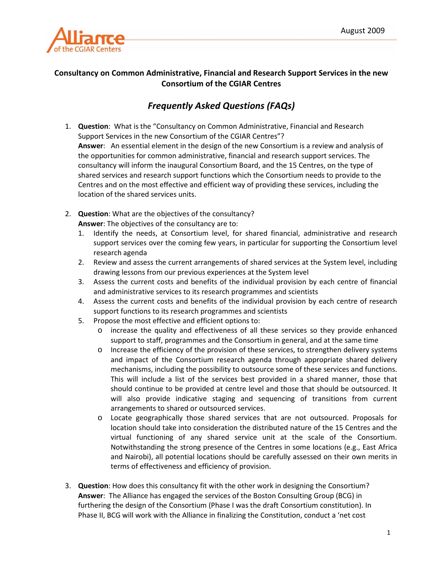

## **Consultancy on Common Administrative, Financial and Research Support Services in the new Consortium of the CGIAR Centres**

## *Frequently Asked Questions (FAQs)*

- 1. **Question**: What is the "Consultancy on Common Administrative, Financial and Research Support Services in the new Consortium of the CGIAR Centres"? **Answer**: An essential element in the design of the new Consortium is a review and analysis of the opportunities for common administrative, financial and research support services. The consultancy will inform the inaugural Consortium Board, and the 15 Centres, on the type of shared services and research support functions which the Consortium needs to provide to the Centres and on the most effective and efficient way of providing these services, including the location of the shared services units.
- 2. **Question**: What are the objectives of the consultancy? **Answer**: The objectives of the consultancy are to:
	- 1. Identify the needs, at Consortium level, for shared financial, administrative and research support services over the coming few years, in particular for supporting the Consortium level research agenda
	- 2. Review and assess the current arrangements of shared services at the System level, including drawing lessons from our previous experiences at the System level
	- 3. Assess the current costs and benefits of the individual provision by each centre of financial and administrative services to its research programmes and scientists
	- 4. Assess the current costs and benefits of the individual provision by each centre of research support functions to its research programmes and scientists
	- 5. Propose the most effective and efficient options to:
		- o increase the quality and effectiveness of all these services so they provide enhanced support to staff, programmes and the Consortium in general, and at the same time
		- o Increase the efficiency of the provision of these services, to strengthen delivery systems and impact of the Consortium research agenda through appropriate shared delivery mechanisms, including the possibility to outsource some of these services and functions. This will include a list of the services best provided in a shared manner, those that should continue to be provided at centre level and those that should be outsourced. It will also provide indicative staging and sequencing of transitions from current arrangements to shared or outsourced services.
		- o Locate geographically those shared services that are not outsourced. Proposals for location should take into consideration the distributed nature of the 15 Centres and the virtual functioning of any shared service unit at the scale of the Consortium. Notwithstanding the strong presence of the Centres in some locations (e.g., East Africa and Nairobi), all potential locations should be carefully assessed on their own merits in terms of effectiveness and efficiency of provision.
- 3. **Question**: How does this consultancy fit with the other work in designing the Consortium? **Answer**: The Alliance has engaged the services of the Boston Consulting Group (BCG) in furthering the design of the Consortium (Phase I was the draft Consortium constitution). In Phase II, BCG will work with the Alliance in finalizing the Constitution, conduct a 'net cost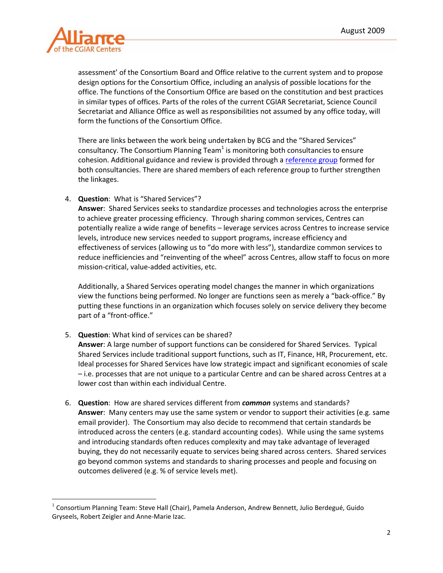

<u>.</u>

assessment' of the Consortium Board and Office relative to the current system and to propose design options for the Consortium Office, including an analysis of possible locations for the office. The functions of the Consortium Office are based on the constitution and best practices in similar types of offices. Parts of the roles of the current CGIAR Secretariat, Science Council Secretariat and Alliance Office as well as responsibilities not assumed by any office today, will form the functions of the Consortium Office.

There are links between the work being undertaken by BCG and the "Shared Services" consultancy. The Consortium Planning Team<sup>1</sup> is monitoring both consultancies to ensure cohesion. Additional guidance and review is provided through a reference group formed for both consultancies. There are shared members of each reference group to further strengthen the linkages.

4. **Question**: What is "Shared Services"?

**Answer**: Shared Services seeks to standardize processes and technologies across the enterprise to achieve greater processing efficiency. Through sharing common services, Centres can potentially realize a wide range of benefits – leverage services across Centres to increase service levels, introduce new services needed to support programs, increase efficiency and effectiveness of services (allowing us to "do more with less"), standardize common services to reduce inefficiencies and "reinventing of the wheel" across Centres, allow staff to focus on more mission-critical, value-added activities, etc.

Additionally, a Shared Services operating model changes the manner in which organizations view the functions being performed. No longer are functions seen as merely a "back-office." By putting these functions in an organization which focuses solely on service delivery they become part of a "front-office."

5. **Question**: What kind of services can be shared?

**Answer**: A large number of support functions can be considered for Shared Services. Typical Shared Services include traditional support functions, such as IT, Finance, HR, Procurement, etc. Ideal processes for Shared Services have low strategic impact and significant economies of scale – i.e. processes that are not unique to a particular Centre and can be shared across Centres at a lower cost than within each individual Centre.

6. **Question**: How are shared services different from *common* systems and standards? **Answer**: Many centers may use the same system or vendor to support their activities (e.g. same email provider). The Consortium may also decide to recommend that certain standards be introduced across the centers (e.g. standard accounting codes). While using the same systems and introducing standards often reduces complexity and may take advantage of leveraged buying, they do not necessarily equate to services being shared across centers. Shared services go beyond common systems and standards to sharing processes and people and focusing on outcomes delivered (e.g. % of service levels met).

 $^1$  Consortium Planning Team: Steve Hall (Chair), Pamela Anderson, Andrew Bennett, Julio Berdegué, Guido Gryseels, Robert Zeigler and Anne-Marie Izac.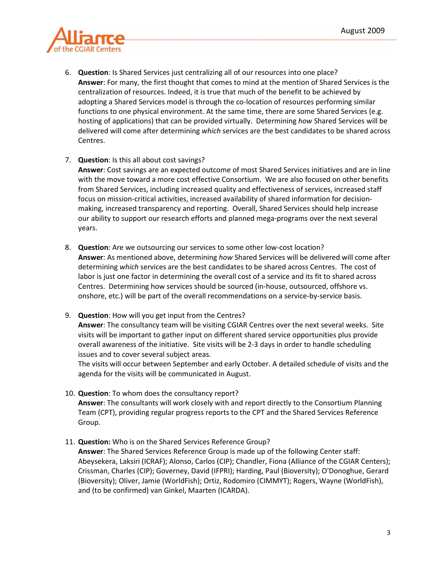

- 6. **Question**: Is Shared Services just centralizing all of our resources into one place? **Answer**: For many, the first thought that comes to mind at the mention of Shared Services is the centralization of resources. Indeed, it is true that much of the benefit to be achieved by adopting a Shared Services model is through the co-location of resources performing similar functions to one physical environment. At the same time, there are some Shared Services (e.g. hosting of applications) that can be provided virtually. Determining *how* Shared Services will be delivered will come after determining *which* services are the best candidates to be shared across Centres.
- 7. **Question**: Is this all about cost savings?

**Answer**: Cost savings are an expected outcome of most Shared Services initiatives and are in line with the move toward a more cost effective Consortium. We are also focused on other benefits from Shared Services, including increased quality and effectiveness of services, increased staff focus on mission-critical activities, increased availability of shared information for decisionmaking, increased transparency and reporting. Overall, Shared Services should help increase our ability to support our research efforts and planned mega-programs over the next several years.

- 8. **Question**: Are we outsourcing our services to some other low-cost location? **Answer**: As mentioned above, determining *how* Shared Services will be delivered will come after determining *which* services are the best candidates to be shared across Centres. The cost of labor is just one factor in determining the overall cost of a service and its fit to shared across Centres. Determining how services should be sourced (in-house, outsourced, offshore vs. onshore, etc.) will be part of the overall recommendations on a service-by-service basis.
- 9. **Question**: How will you get input from the Centres?

**Answer**: The consultancy team will be visiting CGIAR Centres over the next several weeks. Site visits will be important to gather input on different shared service opportunities plus provide overall awareness of the initiative. Site visits will be 2-3 days in order to handle scheduling issues and to cover several subject areas.

The visits will occur between September and early October. A detailed schedule of visits and the agenda for the visits will be communicated in August.

10. **Question**: To whom does the consultancy report?

**Answer**: The consultants will work closely with and report directly to the Consortium Planning Team (CPT), providing regular progress reports to the CPT and the Shared Services Reference Group.

11. **Question:** Who is on the Shared Services Reference Group?

**Answer**: The Shared Services Reference Group is made up of the following Center staff: Abeysekera, Laksiri (ICRAF); Alonso, Carlos (CIP); Chandler, Fiona (Alliance of the CGIAR Centers); Crissman, Charles (CIP); Governey, David (IFPRI); Harding, Paul (Bioversity); O'Donoghue, Gerard (Bioversity); Oliver, Jamie (WorldFish); Ortiz, Rodomiro (CIMMYT); Rogers, Wayne (WorldFish), and (to be confirmed) van Ginkel, Maarten (ICARDA).